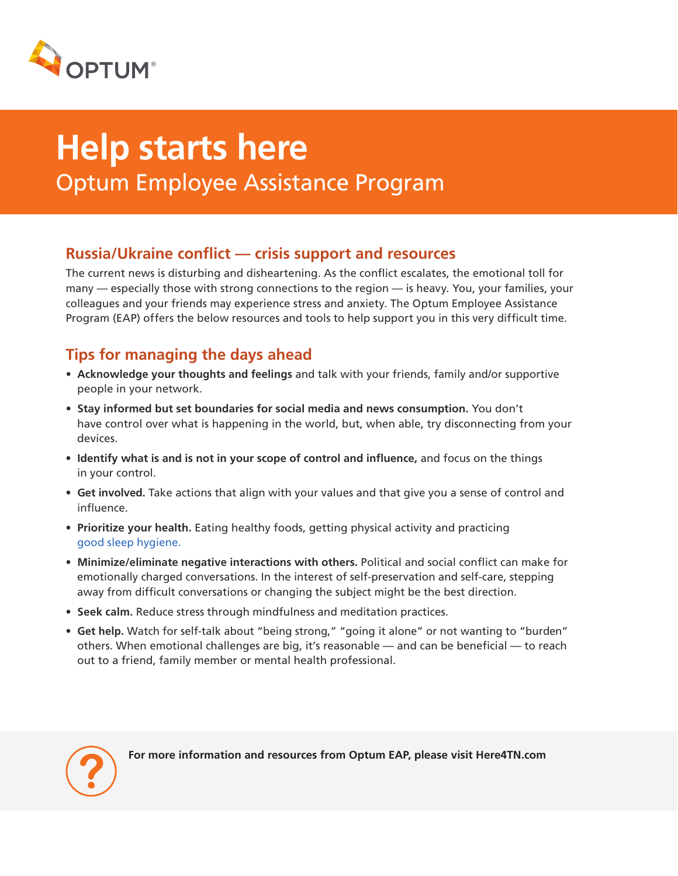

# **Help starts here** Optum Employee Assistance Program

### **Russia/Ukraine conflict — crisis support and resources**

The current news is disturbing and disheartening. As the conflict escalates, the emotional toll for many — especially those with strong connections to the region — is heavy. You, your families, your colleagues and your friends may experience stress and anxiety. The Optum Employee Assistance Program (EAP) offers the below resources and tools to help support you in this very difficult time.

# **Tips for managing the days ahead**

- **Acknowledge your thoughts and feelings** and talk with your friends, family and/or supportive people in your network.
- **Stay informed but set boundaries for social media and news consumption.** You don't have control over what is happening in the world, but, when able, try disconnecting from your devices.
- **Identify what is and is not in your scope of control and influence,** and focus on the things in your control.
- **Get involved.** Take actions that align with your values and that give you a sense of control and influence.
- **Prioritize your health.** Eating healthy foods, getting physical activity and practicing [good sleep hygiene.](https://sleepeducation.org/healthy-sleep/healthy-sleep-habits/)
- **Minimize/eliminate negative interactions with others.** Political and social conflict can make for emotionally charged conversations. In the interest of self-preservation and self-care, stepping away from difficult conversations or changing the subject might be the best direction.
- **Seek calm.** Reduce stress through mindfulness and meditation practices.
- • **Get help.** Watch for self-talk about "being strong," "going it alone" or not wanting to "burden" others. When emotional challenges are big, it's reasonable — and can be beneficial — to reach out to a friend, family member or mental health professional.



**For more information and resources from Optum EAP, please visit Here4TN.com**